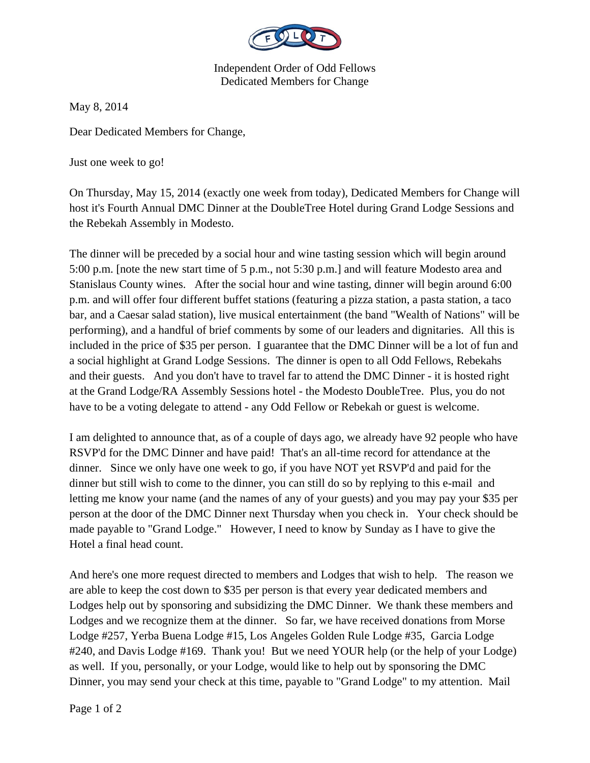

Independent Order of Odd Fellows Dedicated Members for Change

May 8, 2014

Dear Dedicated Members for Change,

Just one week to go!

On Thursday, May 15, 2014 (exactly one week from today), Dedicated Members for Change will host it's Fourth Annual DMC Dinner at the DoubleTree Hotel during Grand Lodge Sessions and the Rebekah Assembly in Modesto.

The dinner will be preceded by a social hour and wine tasting session which will begin around 5:00 p.m. [note the new start time of 5 p.m., not 5:30 p.m.] and will feature Modesto area and Stanislaus County wines. After the social hour and wine tasting, dinner will begin around 6:00 p.m. and will offer four different buffet stations (featuring a pizza station, a pasta station, a taco bar, and a Caesar salad station), live musical entertainment (the band "Wealth of Nations" will be performing), and a handful of brief comments by some of our leaders and dignitaries. All this is included in the price of \$35 per person. I guarantee that the DMC Dinner will be a lot of fun and a social highlight at Grand Lodge Sessions. The dinner is open to all Odd Fellows, Rebekahs and their guests. And you don't have to travel far to attend the DMC Dinner - it is hosted right at the Grand Lodge/RA Assembly Sessions hotel - the Modesto DoubleTree. Plus, you do not have to be a voting delegate to attend - any Odd Fellow or Rebekah or guest is welcome.

I am delighted to announce that, as of a couple of days ago, we already have 92 people who have RSVP'd for the DMC Dinner and have paid! That's an all-time record for attendance at the dinner. Since we only have one week to go, if you have NOT yet RSVP'd and paid for the dinner but still wish to come to the dinner, you can still do so by replying to this e-mail and letting me know your name (and the names of any of your guests) and you may pay your \$35 per person at the door of the DMC Dinner next Thursday when you check in. Your check should be made payable to "Grand Lodge." However, I need to know by Sunday as I have to give the Hotel a final head count.

And here's one more request directed to members and Lodges that wish to help. The reason we are able to keep the cost down to \$35 per person is that every year dedicated members and Lodges help out by sponsoring and subsidizing the DMC Dinner. We thank these members and Lodges and we recognize them at the dinner. So far, we have received donations from Morse Lodge #257, Yerba Buena Lodge #15, Los Angeles Golden Rule Lodge #35, Garcia Lodge #240, and Davis Lodge #169. Thank you! But we need YOUR help (or the help of your Lodge) as well. If you, personally, or your Lodge, would like to help out by sponsoring the DMC Dinner, you may send your check at this time, payable to "Grand Lodge" to my attention. Mail